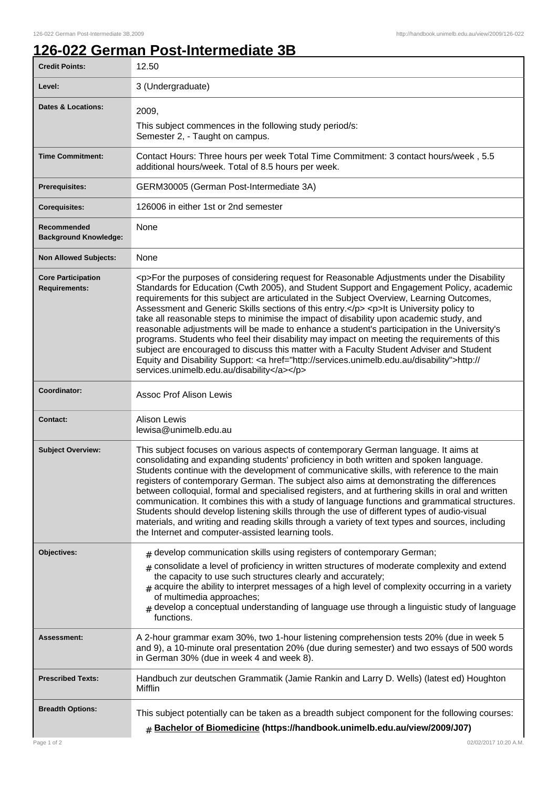## **126-022 German Post-Intermediate 3B**

| <b>Credit Points:</b>                             | 12.50                                                                                                                                                                                                                                                                                                                                                                                                                                                                                                                                                                                                                                                                                                                                                                                                                                                                                                                        |
|---------------------------------------------------|------------------------------------------------------------------------------------------------------------------------------------------------------------------------------------------------------------------------------------------------------------------------------------------------------------------------------------------------------------------------------------------------------------------------------------------------------------------------------------------------------------------------------------------------------------------------------------------------------------------------------------------------------------------------------------------------------------------------------------------------------------------------------------------------------------------------------------------------------------------------------------------------------------------------------|
| Level:                                            | 3 (Undergraduate)                                                                                                                                                                                                                                                                                                                                                                                                                                                                                                                                                                                                                                                                                                                                                                                                                                                                                                            |
| <b>Dates &amp; Locations:</b>                     | 2009,<br>This subject commences in the following study period/s:<br>Semester 2, - Taught on campus.                                                                                                                                                                                                                                                                                                                                                                                                                                                                                                                                                                                                                                                                                                                                                                                                                          |
| <b>Time Commitment:</b>                           | Contact Hours: Three hours per week Total Time Commitment: 3 contact hours/week, 5.5<br>additional hours/week. Total of 8.5 hours per week.                                                                                                                                                                                                                                                                                                                                                                                                                                                                                                                                                                                                                                                                                                                                                                                  |
| <b>Prerequisites:</b>                             | GERM30005 (German Post-Intermediate 3A)                                                                                                                                                                                                                                                                                                                                                                                                                                                                                                                                                                                                                                                                                                                                                                                                                                                                                      |
| <b>Corequisites:</b>                              | 126006 in either 1st or 2nd semester                                                                                                                                                                                                                                                                                                                                                                                                                                                                                                                                                                                                                                                                                                                                                                                                                                                                                         |
| Recommended<br><b>Background Knowledge:</b>       | None                                                                                                                                                                                                                                                                                                                                                                                                                                                                                                                                                                                                                                                                                                                                                                                                                                                                                                                         |
| <b>Non Allowed Subjects:</b>                      | None                                                                                                                                                                                                                                                                                                                                                                                                                                                                                                                                                                                                                                                                                                                                                                                                                                                                                                                         |
| <b>Core Participation</b><br><b>Requirements:</b> | <p>For the purposes of considering request for Reasonable Adjustments under the Disability<br/>Standards for Education (Cwth 2005), and Student Support and Engagement Policy, academic<br/>requirements for this subject are articulated in the Subject Overview, Learning Outcomes,<br/>Assessment and Generic Skills sections of this entry.</p> <p>lt is University policy to<br/>take all reasonable steps to minimise the impact of disability upon academic study, and<br/>reasonable adjustments will be made to enhance a student's participation in the University's<br/>programs. Students who feel their disability may impact on meeting the requirements of this<br/>subject are encouraged to discuss this matter with a Faculty Student Adviser and Student<br/>Equity and Disability Support: &lt; a href="http://services.unimelb.edu.au/disability"&gt;http://<br/>services.unimelb.edu.au/disability</p> |
| Coordinator:                                      | <b>Assoc Prof Alison Lewis</b>                                                                                                                                                                                                                                                                                                                                                                                                                                                                                                                                                                                                                                                                                                                                                                                                                                                                                               |
| <b>Contact:</b>                                   | <b>Alison Lewis</b><br>lewisa@unimelb.edu.au                                                                                                                                                                                                                                                                                                                                                                                                                                                                                                                                                                                                                                                                                                                                                                                                                                                                                 |
| <b>Subject Overview:</b>                          | This subject focuses on various aspects of contemporary German language. It aims at<br>consolidating and expanding students' proficiency in both written and spoken language.<br>Students continue with the development of communicative skills, with reference to the main<br>registers of contemporary German. The subject also aims at demonstrating the differences<br>between colloquial, formal and specialised registers, and at furthering skills in oral and written<br>communication. It combines this with a study of language functions and grammatical structures.<br>Students should develop listening skills through the use of different types of audio-visual<br>materials, and writing and reading skills through a variety of text types and sources, including<br>the Internet and computer-assisted learning tools.                                                                                     |
| Objectives:                                       | $#$ develop communication skills using registers of contemporary German;<br>consolidate a level of proficiency in written structures of moderate complexity and extend<br>#<br>the capacity to use such structures clearly and accurately;<br>$_{\text{\#}}$ acquire the ability to interpret messages of a high level of complexity occurring in a variety<br>of multimedia approaches;<br>$#$ develop a conceptual understanding of language use through a linguistic study of language<br>functions.                                                                                                                                                                                                                                                                                                                                                                                                                      |
| Assessment:                                       | A 2-hour grammar exam 30%, two 1-hour listening comprehension tests 20% (due in week 5<br>and 9), a 10-minute oral presentation 20% (due during semester) and two essays of 500 words<br>in German 30% (due in week 4 and week 8).                                                                                                                                                                                                                                                                                                                                                                                                                                                                                                                                                                                                                                                                                           |
| <b>Prescribed Texts:</b>                          | Handbuch zur deutschen Grammatik (Jamie Rankin and Larry D. Wells) (latest ed) Houghton<br>Mifflin                                                                                                                                                                                                                                                                                                                                                                                                                                                                                                                                                                                                                                                                                                                                                                                                                           |
| <b>Breadth Options:</b>                           | This subject potentially can be taken as a breadth subject component for the following courses:<br><b># Bachelor of Biomedicine (https://handbook.unimelb.edu.au/view/2009/J07)</b>                                                                                                                                                                                                                                                                                                                                                                                                                                                                                                                                                                                                                                                                                                                                          |
| Page 1 of 2                                       | 02/02/2017 10:20 A.M.                                                                                                                                                                                                                                                                                                                                                                                                                                                                                                                                                                                                                                                                                                                                                                                                                                                                                                        |